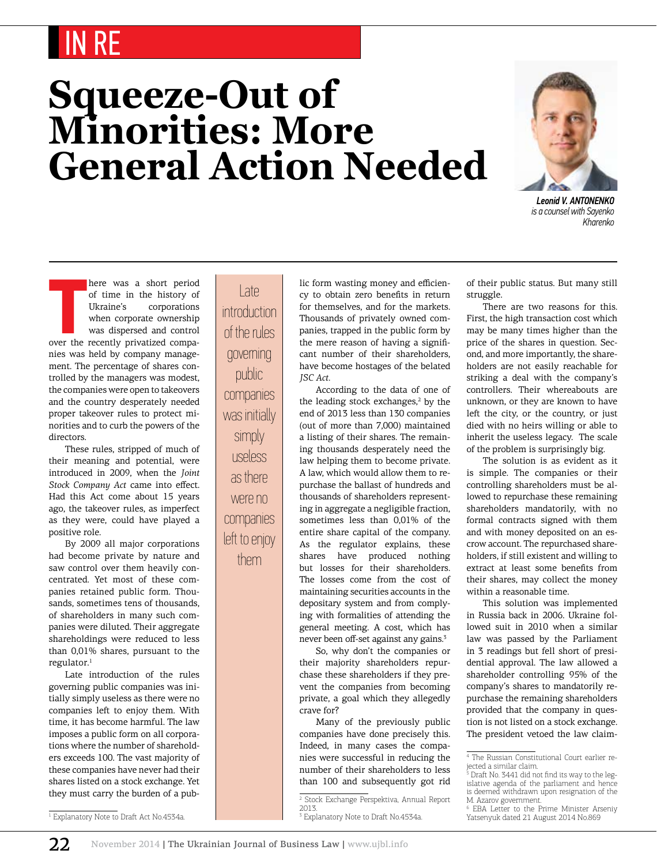## IN RE

## **Squeeze-Out of Minorities: More General Action Needed**



*Leonid V. Antonenko is a counsel with Sayenko Kharenko*

here was a short period<br>of time in the history of<br>Ukraine's corporations<br>when corporate ownership<br>was dispersed and control<br>over the recently privatized compa-<br>nite were held by expressive monographs here was a short period of time in the history of Ukraine's corporations when corporate ownership was dispersed and control nies was held by company management. The percentage of shares controlled by the managers was modest, the companies were open to takeovers and the country desperately needed proper takeover rules to protect minorities and to curb the powers of the directors.

These rules, stripped of much of their meaning and potential, were introduced in 2009, when the *Joint Stock Company Act* came into effect. Had this Act come about 15 years ago, the takeover rules, as imperfect as they were, could have played a positive role.

By 2009 all major corporations had become private by nature and saw control over them heavily concentrated. Yet most of these companies retained public form. Thousands, sometimes tens of thousands, of shareholders in many such companies were diluted. Their aggregate shareholdings were reduced to less than 0,01% shares, pursuant to the regulator.<sup>1</sup>

Late introduction of the rules governing public companies was initially simply useless as there were no companies left to enjoy them. With time, it has become harmful. The law imposes a public form on all corporations where the number of shareholders exceeds 100. The vast majority of these companies have never had their shares listed on a stock exchange. Yet they must carry the burden of a pub-

Late introduction of the rules governing public companies was initially simply useless as there were no companies left to enjoy

them

lic form wasting money and efficiency to obtain zero benefits in return for themselves, and for the markets. Thousands of privately owned companies, trapped in the public form by the mere reason of having a significant number of their shareholders, have become hostages of the belated *JSC Act.*

According to the data of one of the leading stock exchanges,<sup>2</sup> by the end of 2013 less than 130 companies (out of more than 7,000) maintained a listing of their shares. The remaining thousands desperately need the law helping them to become private. A law, which would allow them to repurchase the ballast of hundreds and thousands of shareholders representing in aggregate a negligible fraction, sometimes less than 0,01% of the entire share capital of the company. As the regulator explains, these shares have produced nothing but losses for their shareholders. The losses come from the cost of maintaining securities accounts in the depositary system and from complying with formalities of attending the general meeting. A cost, which has never been off-set against any gains.<sup>3</sup>

So, why don't the companies or their majority shareholders repurchase these shareholders if they prevent the companies from becoming private, a goal which they allegedly crave for?

Many of the previously public companies have done precisely this. Indeed, in many cases the companies were successful in reducing the number of their shareholders to less than 100 and subsequently got rid

2 Stock Exchange Perspektiva, Annual Report 2013.

of their public status. But many still struggle.

There are two reasons for this. First, the high transaction cost which may be many times higher than the price of the shares in question. Second, and more importantly, the shareholders are not easily reachable for striking a deal with the company's controllers. Their whereabouts are unknown, or they are known to have left the city, or the country, or just died with no heirs willing or able to inherit the useless legacy. The scale of the problem is surprisingly big.

The solution is as evident as it is simple. The companies or their controlling shareholders must be allowed to repurchase these remaining shareholders mandatorily, with no formal contracts signed with them and with money deposited on an escrow account. The repurchased shareholders, if still existent and willing to extract at least some benefits from their shares, may collect the money within a reasonable time.

This solution was implemented in Russia back in 2006. Ukraine followed suit in 2010 when a similar law was passed by the Parliament in 3 readings but fell short of presidential approval. The law allowed a shareholder controlling 95% of the company's shares to mandatorily repurchase the remaining shareholders provided that the company in question is not listed on a stock exchange. The president vetoed the law claim-

1 Explanatory Note to Draft Act No.4534a.

<sup>3</sup> Explanatory Note to Draft No.4534a.

<sup>4</sup> The Russian Constitutional Court earlier rejected a similar claim.

<sup>5</sup> Draft No. 3441 did not find its way to the legislative agenda of the parliament and hence is deemed withdrawn upon resignation of the M. Azarov government.

<sup>6</sup> EBA Letter to the Prime Minister Arseniy Yatsenyuk dated 21 August 2014 No.869